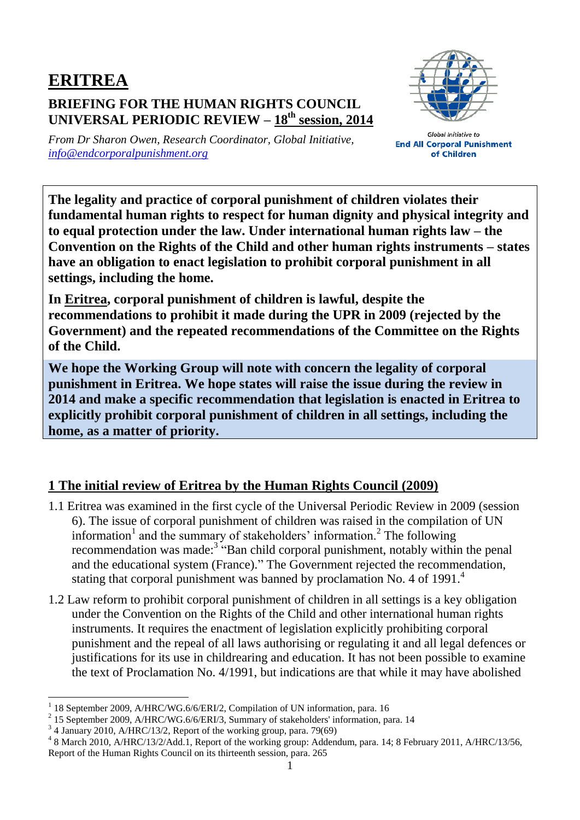## **ERITREA BRIEFING FOR THE HUMAN RIGHTS COUNCIL UNIVERSAL PERIODIC REVIEW – 18 th session, 2014**



*From Dr Sharon Owen, Research Coordinator, Global Initiative, [info@endcorporalpunishment.org](mailto:info@endcorporalpunishment.org)*

**Global Initiative to End All Corporal Punishment** of Children

**The legality and practice of corporal punishment of children violates their fundamental human rights to respect for human dignity and physical integrity and to equal protection under the law. Under international human rights law – the Convention on the Rights of the Child and other human rights instruments – states have an obligation to enact legislation to prohibit corporal punishment in all settings, including the home.**

**In Eritrea, corporal punishment of children is lawful, despite the recommendations to prohibit it made during the UPR in 2009 (rejected by the Government) and the repeated recommendations of the Committee on the Rights of the Child.**

**We hope the Working Group will note with concern the legality of corporal punishment in Eritrea. We hope states will raise the issue during the review in 2014 and make a specific recommendation that legislation is enacted in Eritrea to explicitly prohibit corporal punishment of children in all settings, including the home, as a matter of priority.**

## **1 The initial review of Eritrea by the Human Rights Council (2009)**

- 1.1 Eritrea was examined in the first cycle of the Universal Periodic Review in 2009 (session 6). The issue of corporal punishment of children was raised in the compilation of UN information<sup>1</sup> and the summary of stakeholders' information.<sup>2</sup> The following recommendation was made:<sup>3</sup> "Ban child corporal punishment, notably within the penal and the educational system (France)." The Government rejected the recommendation, stating that corporal punishment was banned by proclamation No. 4 of 1991.<sup>4</sup>
- 1.2 Law reform to prohibit corporal punishment of children in all settings is a key obligation under the Convention on the Rights of the Child and other international human rights instruments. It requires the enactment of legislation explicitly prohibiting corporal punishment and the repeal of all laws authorising or regulating it and all legal defences or justifications for its use in childrearing and education. It has not been possible to examine the text of Proclamation No. 4/1991, but indications are that while it may have abolished

 $\overline{a}$ 1 18 September 2009, A/HRC/WG.6/6/ERI/2, Compilation of UN information, para. 16

<sup>2</sup> 15 September 2009, A/HRC/WG.6/6/ERI/3, Summary of stakeholders' information, para. 14

<sup>&</sup>lt;sup>3</sup> 4 January 2010, A/HRC/13/2, Report of the working group, para. 79(69)

<sup>4</sup> 8 March 2010, A/HRC/13/2/Add.1, Report of the working group: Addendum, para. 14; 8 February 2011, A/HRC/13/56, Report of the Human Rights Council on its thirteenth session, para. 265